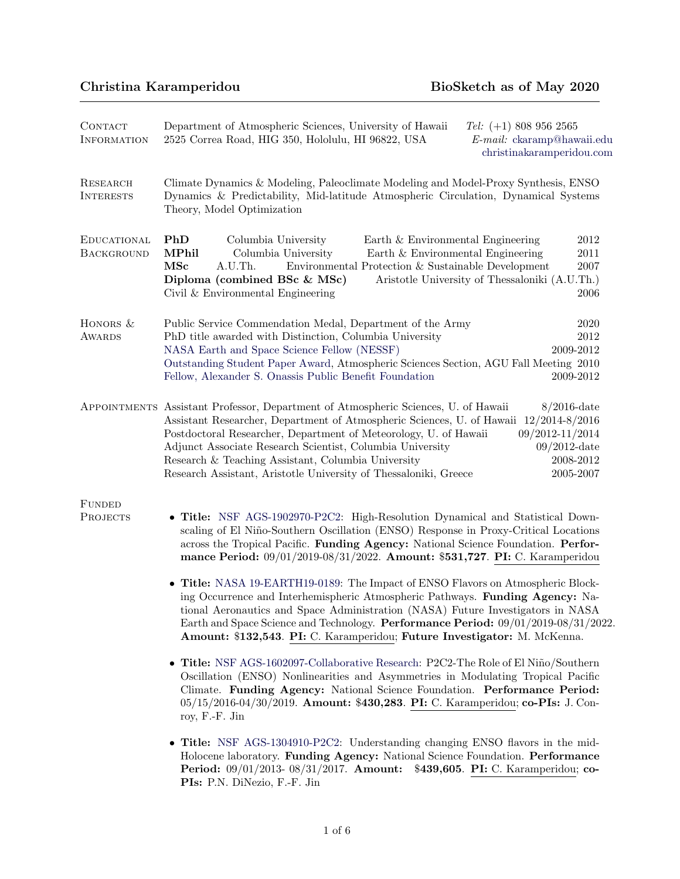# Christina Karamperidou BioSketch as of May 2020

| CONTACT<br><b>INFORMATION</b>       | Department of Atmospheric Sciences, University of Hawaii<br>Tel: $(+1)$ 808 956 2565<br>2525 Correa Road, HIG 350, Hololulu, HI 96822, USA<br>$E$ -mail: ckaramp@hawaii.edu<br>christinakaramperidou.com                                                                                                                                                                                                                                                                                                                                                                                                                                                                                                                                                                                                                                                 |
|-------------------------------------|----------------------------------------------------------------------------------------------------------------------------------------------------------------------------------------------------------------------------------------------------------------------------------------------------------------------------------------------------------------------------------------------------------------------------------------------------------------------------------------------------------------------------------------------------------------------------------------------------------------------------------------------------------------------------------------------------------------------------------------------------------------------------------------------------------------------------------------------------------|
| <b>RESEARCH</b><br><b>INTERESTS</b> | Climate Dynamics & Modeling, Paleoclimate Modeling and Model-Proxy Synthesis, ENSO<br>Dynamics & Predictability, Mid-latitude Atmospheric Circulation, Dynamical Systems<br>Theory, Model Optimization                                                                                                                                                                                                                                                                                                                                                                                                                                                                                                                                                                                                                                                   |
| EDUCATIONAL<br>BACKGROUND           | PhD<br>Columbia University<br>2012<br>Earth & Environmental Engineering<br><b>MPhil</b><br>Columbia University<br>Earth & Environmental Engineering<br>2011<br>MSc<br>Environmental Protection & Sustainable Development<br>$\,2007\,$<br>A.U.Th.<br>Aristotle University of Thessaloniki (A.U.Th.)<br>Diploma (combined BSc & MSc)<br>Civil & Environmental Engineering<br>2006                                                                                                                                                                                                                                                                                                                                                                                                                                                                         |
| HONORS &<br>AWARDS                  | Public Service Commendation Medal, Department of the Army<br>2020<br>PhD title awarded with Distinction, Columbia University<br>$\>2012$<br>NASA Earth and Space Science Fellow (NESSF)<br>2009-2012<br>Outstanding Student Paper Award, Atmospheric Sciences Section, AGU Fall Meeting 2010<br>Fellow, Alexander S. Onassis Public Benefit Foundation<br>2009-2012                                                                                                                                                                                                                                                                                                                                                                                                                                                                                      |
|                                     | APPOINTMENTS Assistant Professor, Department of Atmospheric Sciences, U. of Hawaii<br>$8/2016$ -date<br>Assistant Researcher, Department of Atmospheric Sciences, U. of Hawaii 12/2014-8/2016<br>Postdoctoral Researcher, Department of Meteorology, U. of Hawaii<br>09/2012-11/2014<br>Adjunct Associate Research Scientist, Columbia University<br>$09/2012$ -date<br>Research & Teaching Assistant, Columbia University<br>2008-2012<br>Research Assistant, Aristotle University of Thessaloniki, Greece<br>2005-2007                                                                                                                                                                                                                                                                                                                                 |
| <b>FUNDED</b><br><b>PROJECTS</b>    | • Title: NSF AGS-1902970-P2C2: High-Resolution Dynamical and Statistical Down-<br>scaling of El Niño-Southern Oscillation (ENSO) Response in Proxy-Critical Locations<br>across the Tropical Pacific. Funding Agency: National Science Foundation. Perfor-<br>mance Period: 09/01/2019-08/31/2022. Amount: \$531,727. PI: C. Karamperidou<br>• Title: NASA 19-EARTH19-0189: The Impact of ENSO Flavors on Atmospheric Block-<br>ing Occurrence and Interhemispheric Atmospheric Pathways. Funding Agency: Na-<br>tional Aeronautics and Space Administration (NASA) Future Investigators in NASA<br>Earth and Space Science and Technology. Performance Period: 09/01/2019-08/31/2022.<br>Amount: \$132,543. PI: C. Karamperidou; Future Investigator: M. McKenna.<br>• Title: NSF AGS-1602097-Collaborative Research: P2C2-The Role of El Niño/Southern |
|                                     | Oscillation (ENSO) Nonlinearities and Asymmetries in Modulating Tropical Pacific<br>Climate. Funding Agency: National Science Foundation. Performance Period:<br>05/15/2016-04/30/2019. Amount: \$430,283. PI: C. Karamperidou; co-PIs: J. Con-<br>roy, F.-F. Jin                                                                                                                                                                                                                                                                                                                                                                                                                                                                                                                                                                                        |
|                                     | • Title: NSF AGS-1304910-P2C2: Understanding changing ENSO flavors in the mid-<br>Holocene laboratory. Funding Agency: National Science Foundation. Performance<br>Period: 09/01/2013-08/31/2017. Amount: \$439,605. PI: C. Karamperidou; co-<br>PIs: P.N. DiNezio, F.-F. Jin                                                                                                                                                                                                                                                                                                                                                                                                                                                                                                                                                                            |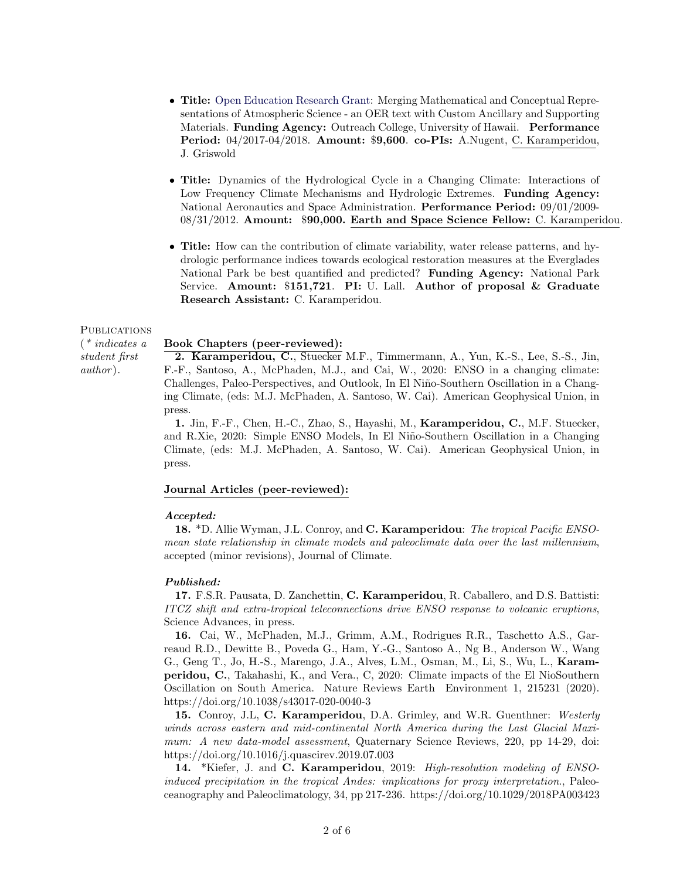- Title: [Open Education Research Grant:](http://oer.hawaii.edu/project/practical-meteorology/) Merging Mathematical and Conceptual Representations of Atmospheric Science - an OER text with Custom Ancillary and Supporting Materials. Funding Agency: Outreach College, University of Hawaii. Performance Period: 04/2017-04/2018. Amount: \$9,600. co-PIs: A.Nugent, C. Karamperidou, J. Griswold
- Title: Dynamics of the Hydrological Cycle in a Changing Climate: Interactions of Low Frequency Climate Mechanisms and Hydrologic Extremes. **Funding Agency:** National Aeronautics and Space Administration. Performance Period: 09/01/2009- 08/31/2012. Amount: \$90,000. Earth and Space Science Fellow: C. Karamperidou.
- Title: How can the contribution of climate variability, water release patterns, and hydrologic performance indices towards ecological restoration measures at the Everglades National Park be best quantified and predicted? Funding Agency: National Park Service. Amount:  $$151,721$ . PI: U. Lall. Author of proposal & Graduate Research Assistant: C. Karamperidou.

### **PUBLICATIONS**

(\* indicates a student first author ).

## Book Chapters (peer-reviewed):

2. Karamperidou, C., Stuecker M.F., Timmermann, A., Yun, K.-S., Lee, S.-S., Jin, F.-F., Santoso, A., McPhaden, M.J., and Cai, W., 2020: ENSO in a changing climate: Challenges, Paleo-Perspectives, and Outlook, In El Niño-Southern Oscillation in a Changing Climate, (eds: M.J. McPhaden, A. Santoso, W. Cai). American Geophysical Union, in press.

1. Jin, F.-F., Chen, H.-C., Zhao, S., Hayashi, M., Karamperidou, C., M.F. Stuecker, and R.Xie, 2020: Simple ENSO Models, In El Niño-Southern Oscillation in a Changing Climate, (eds: M.J. McPhaden, A. Santoso, W. Cai). American Geophysical Union, in press.

## Journal Articles (peer-reviewed):

#### Accepted:

18. \*D. Allie Wyman, J.L. Conroy, and C. Karamperidou: The tropical Pacific ENSOmean state relationship in climate models and paleoclimate data over the last millennium, accepted (minor revisions), Journal of Climate.

#### Published:

17. F.S.R. Pausata, D. Zanchettin, C. Karamperidou, R. Caballero, and D.S. Battisti: ITCZ shift and extra-tropical teleconnections drive ENSO response to volcanic eruptions, Science Advances, in press.

16. Cai, W., McPhaden, M.J., Grimm, A.M., Rodrigues R.R., Taschetto A.S., Garreaud R.D., Dewitte B., Poveda G., Ham, Y.-G., Santoso A., Ng B., Anderson W., Wang G., Geng T., Jo, H.-S., Marengo, J.A., Alves, L.M., Osman, M., Li, S., Wu, L., Karamperidou, C., Takahashi, K., and Vera., C, 2020: Climate impacts of the El NioSouthern Oscillation on South America. Nature Reviews Earth Environment 1, 215231 (2020). https://doi.org/10.1038/s43017-020-0040-3

15. Conroy, J.L, C. Karamperidou, D.A. Grimley, and W.R. Guenthner: Westerly winds across eastern and mid-continental North America during the Last Glacial Maximum: A new data-model assessment, Quaternary Science Reviews, 220, pp 14-29, doi: https://doi.org/10.1016/j.quascirev.2019.07.003

14. \*Kiefer, J. and C. Karamperidou, 2019: High-resolution modeling of ENSOinduced precipitation in the tropical Andes: implications for proxy interpretation., Paleoceanography and Paleoclimatology, 34, pp 217-236. https://doi.org/10.1029/2018PA003423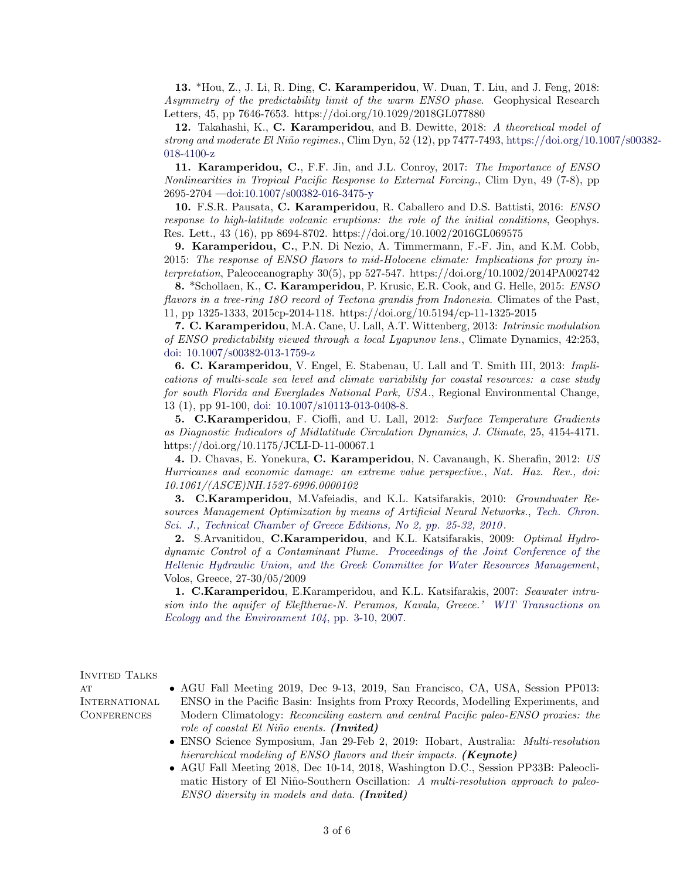13. \*Hou, Z., J. Li, R. Ding, C. Karamperidou, W. Duan, T. Liu, and J. Feng, 2018: Asymmetry of the predictability limit of the warm ENSO phase. Geophysical Research Letters, 45, pp 7646-7653. https://doi.org/10.1029/2018GL077880

12. Takahashi, K., C. Karamperidou, and B. Dewitte, 2018: A theoretical model of strong and moderate El Niño regimes., Clim Dyn, 52 (12), pp 7477-7493, [https://doi.org/10.1](https://link.springer.com/article/10.1007/s00382-018-4100-z)007/s00382-[018-4100-z](https://link.springer.com/article/10.1007/s00382-018-4100-z)

11. Karamperidou, C., F.F. Jin, and J.L. Conroy, 2017: The Importance of ENSO Nonlinearities in Tropical Pacific Response to External Forcing., Clim Dyn, 49 (7-8), pp 2695-2704 [—doi:10.1007/s00382-016-3475-y](https://link.springer.com/article/10.1007/s00382-016-3475-y)

10. F.S.R. Pausata, C. Karamperidou, R. Caballero and D.S. Battisti, 2016: ENSO response to high-latitude volcanic eruptions: the role of the initial conditions, Geophys. Res. Lett., 43 (16), pp 8694-8702. https://doi.org/10.1002/2016GL069575

9. Karamperidou, C., P.N. Di Nezio, A. Timmermann, F.-F. Jin, and K.M. Cobb, 2015: The response of ENSO flavors to mid-Holocene climate: Implications for proxy interpretation, Paleoceanography 30(5), pp 527-547. https://doi.org/10.1002/2014PA002742

8. \*Schollaen, K., C. Karamperidou, P. Krusic, E.R. Cook, and G. Helle, 2015: ENSO flavors in a tree-ring 180 record of Tectona grandis from Indonesia. Climates of the Past, 11, pp 1325-1333, 2015cp-2014-118. https://doi.org/10.5194/cp-11-1325-2015

7. C. Karamperidou, M.A. Cane, U. Lall, A.T. Wittenberg, 2013: Intrinsic modulation of ENSO predictability viewed through a local Lyapunov lens., Climate Dynamics, 42:253, [doi: 10.1007/s00382-013-1759-z](https://link.springer.com/article/10.1007/s00382-013-1759-z)

6. C. Karamperidou, V. Engel, E. Stabenau, U. Lall and T. Smith III, 2013: Implications of multi-scale sea level and climate variability for coastal resources: a case study for south Florida and Everglades National Park, USA., Regional Environmental Change, 13 (1), pp 91-100, [doi: 10.1007/s10113-013-0408-8.](https://doi.org/10.1007/s10113-013-0408-8)

5. C.Karamperidou, F. Cioffi, and U. Lall, 2012: Surface Temperature Gradients as Diagnostic Indicators of Midlatitude Circulation Dynamics, J. Climate, 25, 4154-4171. https://doi.org/10.1175/JCLI-D-11-00067.1

4. D. Chavas, E. Yonekura, C. Karamperidou, N. Cavanaugh, K. Sherafin, 2012: US Hurricanes and economic damage: an extreme value perspective., Nat. Haz. Rev., doi: 10.1061/(ASCE)NH.1527-6996.0000102

3. C.Karamperidou, M.Vafeiadis, and K.L. Katsifarakis, 2010: Groundwater Resources Management Optimization by means of Artificial Neural Networks., [Tech. Chron.](http://portal.tee.gr/portal/page/portal/PUBLICATIONS/SCIENTIFIC_PUBLICATIONS/2010/2o_teuxos2010/02_3805_0.pdf) [Sci. J., Technical Chamber of Greece Editions, No 2, pp. 25-32, 2010](http://portal.tee.gr/portal/page/portal/PUBLICATIONS/SCIENTIFIC_PUBLICATIONS/2010/2o_teuxos2010/02_3805_0.pdf).

2. S.Arvanitidou, C.Karamperidou, and K.L. Katsifarakis, 2009: Optimal Hydrodynamic Control of a Contaminant Plume. [Proceedings of the Joint Conference of the](http://eye.web.auth.gr/) [Hellenic Hydraulic Union, and the Greek Committee for Water Resources Management](http://eye.web.auth.gr/), Volos, Greece, 27-30/05/2009

1. C.Karamperidou, E.Karamperidou, and K.L. Katsifarakis, 2007: Seawater intrusion into the aquifer of Eleftherae-N. Peramos, Kavala, Greece.' [WIT Transactions on](http://library.witpress.com/pages/PaperInfo.asp?PaperID=17580) [Ecology and the Environment 104](http://library.witpress.com/pages/PaperInfo.asp?PaperID=17580), pp. 3-10, 2007.

INVITED TALKS

 $AT$ **INTERNATIONAL CONFERENCES** 

- AGU Fall Meeting 2019, Dec 9-13, 2019, San Francisco, CA, USA, Session PP013: ENSO in the Pacific Basin: Insights from Proxy Records, Modelling Experiments, and Modern Climatology: Reconciling eastern and central Pacific paleo-ENSO proxies: the role of coastal El Niño events. (Invited)
- ENSO Science Symposium, Jan 29-Feb 2, 2019: Hobart, Australia: Multi-resolution hierarchical modeling of ENSO flavors and their impacts. (**Keynote**)
- AGU Fall Meeting 2018, Dec 10-14, 2018, Washington D.C., Session PP33B: Paleoclimatic History of El Niño-Southern Oscillation: A multi-resolution approach to paleo-ENSO diversity in models and data. (Invited)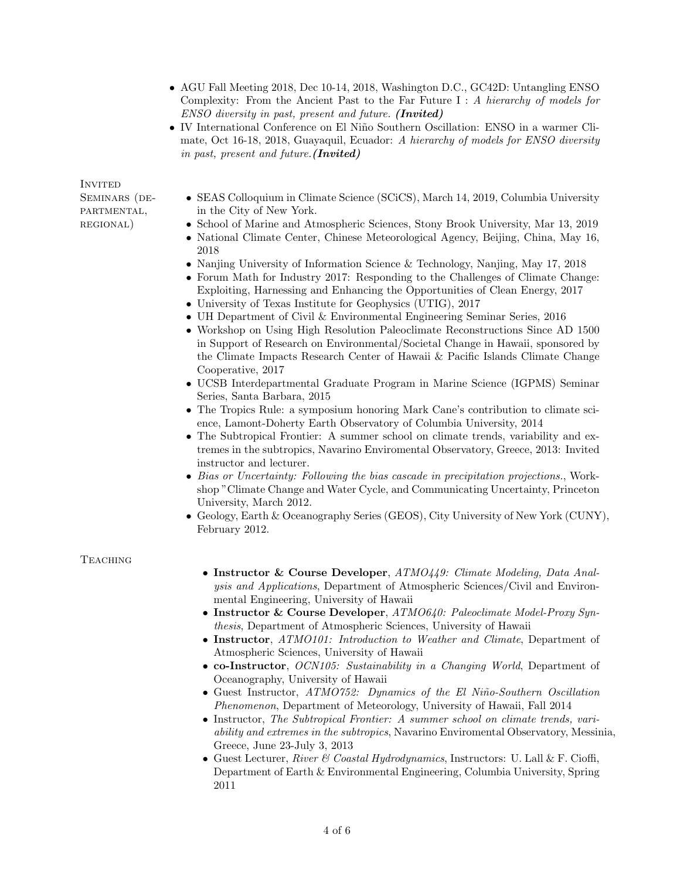- AGU Fall Meeting 2018, Dec 10-14, 2018, Washington D.C., GC42D: Untangling ENSO Complexity: From the Ancient Past to the Far Future I : A hierarchy of models for ENSO diversity in past, present and future. (Invited)
- IV International Conference on El Niño Southern Oscillation: ENSO in a warmer Climate, Oct 16-18, 2018, Guayaquil, Ecuador: A hierarchy of models for ENSO diversity in past, present and future.(Invited)

**INVITED** 

SEMINARS (DE-PARTMENTAL, regional)

- SEAS Colloquium in Climate Science (SCiCS), March 14, 2019, Columbia University in the City of New York.
- School of Marine and Atmospheric Sciences, Stony Brook University, Mar 13, 2019
- National Climate Center, Chinese Meteorological Agency, Beijing, China, May 16, 2018
- Nanjing University of Information Science & Technology, Nanjing, May 17, 2018
- Forum Math for Industry 2017: Responding to the Challenges of Climate Change: Exploiting, Harnessing and Enhancing the Opportunities of Clean Energy, 2017
- University of Texas Institute for Geophysics (UTIG), 2017
- UH Department of Civil & Environmental Engineering Seminar Series, 2016
- Workshop on Using High Resolution Paleoclimate Reconstructions Since AD 1500 in Support of Research on Environmental/Societal Change in Hawaii, sponsored by the Climate Impacts Research Center of Hawaii & Pacific Islands Climate Change Cooperative, 2017
- UCSB Interdepartmental Graduate Program in Marine Science (IGPMS) Seminar Series, Santa Barbara, 2015
- The Tropics Rule: a symposium honoring Mark Cane's contribution to climate science, Lamont-Doherty Earth Observatory of Columbia University, 2014
- The Subtropical Frontier: A summer school on climate trends, variability and extremes in the subtropics, Navarino Enviromental Observatory, Greece, 2013: Invited instructor and lecturer.
- Bias or Uncertainty: Following the bias cascade in precipitation projections., Workshop "Climate Change and Water Cycle, and Communicating Uncertainty, Princeton University, March 2012.
- Geology, Earth & Oceanography Series (GEOS), City University of New York (CUNY), February 2012.

# **TEACHING**

- Instructor & Course Developer, ATMO449: Climate Modeling, Data Analysis and Applications, Department of Atmospheric Sciences/Civil and Environmental Engineering, University of Hawaii
- Instructor & Course Developer,  $ATMO640$ : Paleoclimate Model-Proxy Synthesis, Department of Atmospheric Sciences, University of Hawaii
- Instructor, ATMO101: Introduction to Weather and Climate, Department of Atmospheric Sciences, University of Hawaii
- co-Instructor, OCN105: Sustainability in a Changing World, Department of Oceanography, University of Hawaii
- Guest Instructor, ATMO752: Dynamics of the El Niño-Southern Oscillation Phenomenon, Department of Meteorology, University of Hawaii, Fall 2014
- Instructor, The Subtropical Frontier: A summer school on climate trends, variability and extremes in the subtropics, Navarino Enviromental Observatory, Messinia, Greece, June 23-July 3, 2013
- Guest Lecturer, River & Coastal Hydrodynamics, Instructors: U. Lall & F. Cioffi, Department of Earth & Environmental Engineering, Columbia University, Spring 2011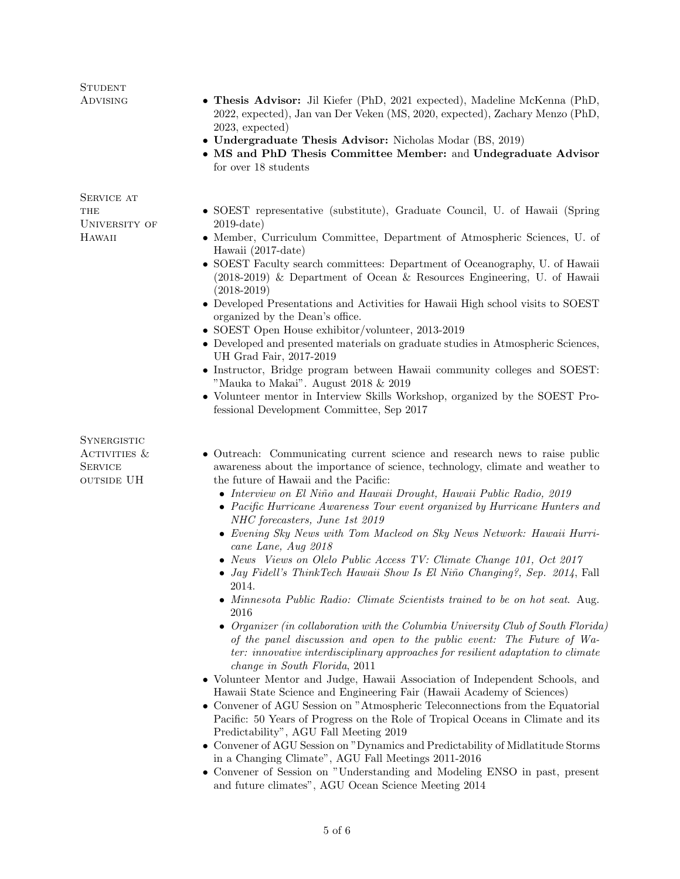| <b>STUDENT</b><br><b>ADVISING</b>                                    | • Thesis Advisor: Jil Kiefer (PhD, 2021 expected), Madeline McKenna (PhD,<br>2022, expected), Jan van Der Veken (MS, 2020, expected), Zachary Menzo (PhD,<br>$2023$ , expected)<br>• Undergraduate Thesis Advisor: Nicholas Modar (BS, 2019)<br>• MS and PhD Thesis Committee Member: and Undegraduate Advisor<br>for over 18 students                                                                                                                                                                                                                                                                                                                                                                                                                                                                                                                                                                                                                                                                                                                                                                                                                                                                                                                                                                                                                                                                                                                                                                                                                                                                                                                                                               |
|----------------------------------------------------------------------|------------------------------------------------------------------------------------------------------------------------------------------------------------------------------------------------------------------------------------------------------------------------------------------------------------------------------------------------------------------------------------------------------------------------------------------------------------------------------------------------------------------------------------------------------------------------------------------------------------------------------------------------------------------------------------------------------------------------------------------------------------------------------------------------------------------------------------------------------------------------------------------------------------------------------------------------------------------------------------------------------------------------------------------------------------------------------------------------------------------------------------------------------------------------------------------------------------------------------------------------------------------------------------------------------------------------------------------------------------------------------------------------------------------------------------------------------------------------------------------------------------------------------------------------------------------------------------------------------------------------------------------------------------------------------------------------------|
| SERVICE AT<br>THE<br>UNIVERSITY OF<br>HAWAII                         | • SOEST representative (substitute), Graduate Council, U. of Hawaii (Spring<br>$2019$ -date)<br>• Member, Curriculum Committee, Department of Atmospheric Sciences, U. of<br>Hawaii (2017-date)<br>• SOEST Faculty search committees: Department of Oceanography, U. of Hawaii<br>(2018-2019) & Department of Ocean & Resources Engineering, U. of Hawaii<br>$(2018-2019)$<br>• Developed Presentations and Activities for Hawaii High school visits to SOEST<br>organized by the Dean's office.<br>• SOEST Open House exhibitor/volunteer, 2013-2019<br>• Developed and presented materials on graduate studies in Atmospheric Sciences,<br>UH Grad Fair, 2017-2019<br>• Instructor, Bridge program between Hawaii community colleges and SOEST:<br>"Mauka to Makai". August 2018 $& 2019$<br>• Volunteer mentor in Interview Skills Workshop, organized by the SOEST Pro-<br>fessional Development Committee, Sep 2017                                                                                                                                                                                                                                                                                                                                                                                                                                                                                                                                                                                                                                                                                                                                                                             |
| <b>SYNERGISTIC</b><br>ACTIVITIES $&$<br><b>SERVICE</b><br>OUTSIDE UH | • Outreach: Communicating current science and research news to raise public<br>awareness about the importance of science, technology, climate and weather to<br>the future of Hawaii and the Pacific:<br>• Interview on El Niño and Hawaii Drought, Hawaii Public Radio, 2019<br>• Pacific Hurricane Awareness Tour event organized by Hurricane Hunters and<br>NHC forecasters, June 1st 2019<br>• Evening Sky News with Tom Macleod on Sky News Network: Hawaii Hurri-<br>cane Lane, Aug 2018<br>• News Views on Olelo Public Access TV: Climate Change 101, Oct 2017<br>· Jay Fidell's ThinkTech Hawaii Show Is El Niño Changing?, Sep. 2014, Fall<br>2014.<br>• Minnesota Public Radio: Climate Scientists trained to be on hot seat. Aug.<br>2016<br>• Organizer (in collaboration with the Columbia University Club of South Florida)<br>of the panel discussion and open to the public event: The Future of Wa-<br>ter: innovative interdisciplinary approaches for resilient adaptation to climate<br>change in South Florida, 2011<br>• Volunteer Mentor and Judge, Hawaii Association of Independent Schools, and<br>Hawaii State Science and Engineering Fair (Hawaii Academy of Sciences)<br>• Convener of AGU Session on "Atmospheric Teleconnections from the Equatorial<br>Pacific: 50 Years of Progress on the Role of Tropical Oceans in Climate and its<br>Predictability", AGU Fall Meeting 2019<br>• Convener of AGU Session on "Dynamics and Predictability of Midlatitude Storms"<br>in a Changing Climate", AGU Fall Meetings 2011-2016<br>• Convener of Session on "Understanding and Modeling ENSO in past, present<br>and future climates", AGU Ocean Science Meeting 2014 |